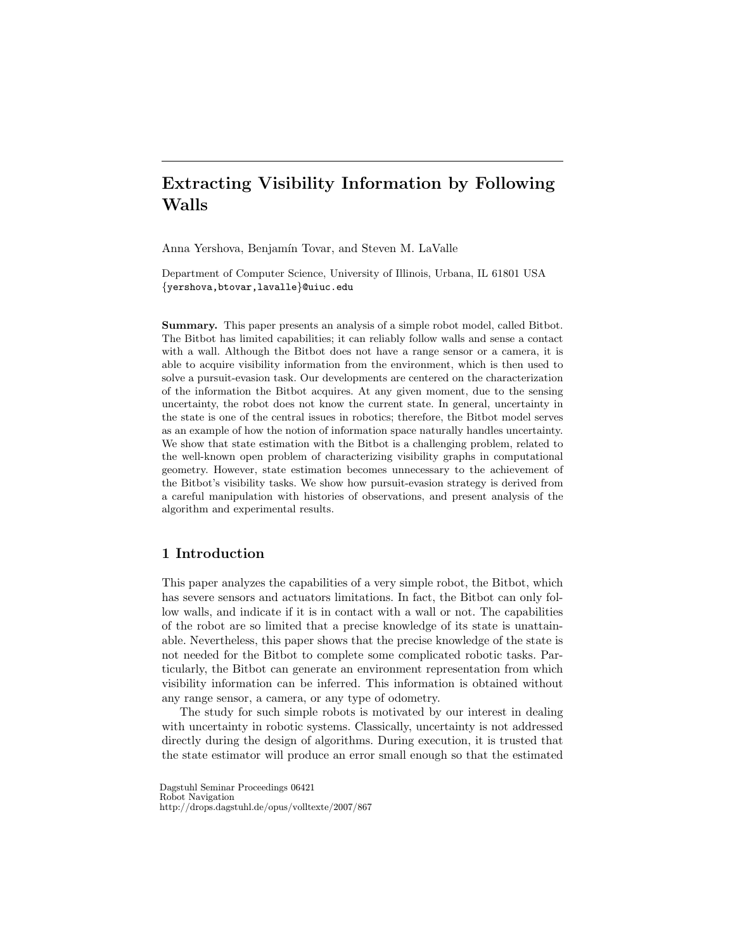# Extracting Visibility Information by Following Walls

Anna Yershova, Benjamín Tovar, and Steven M. LaValle

Department of Computer Science, University of Illinois, Urbana, IL 61801 USA {yershova,btovar,lavalle}@uiuc.edu

Summary. This paper presents an analysis of a simple robot model, called Bitbot. The Bitbot has limited capabilities; it can reliably follow walls and sense a contact with a wall. Although the Bitbot does not have a range sensor or a camera, it is able to acquire visibility information from the environment, which is then used to solve a pursuit-evasion task. Our developments are centered on the characterization of the information the Bitbot acquires. At any given moment, due to the sensing uncertainty, the robot does not know the current state. In general, uncertainty in the state is one of the central issues in robotics; therefore, the Bitbot model serves as an example of how the notion of information space naturally handles uncertainty. We show that state estimation with the Bitbot is a challenging problem, related to the well-known open problem of characterizing visibility graphs in computational geometry. However, state estimation becomes unnecessary to the achievement of the Bitbot's visibility tasks. We show how pursuit-evasion strategy is derived from a careful manipulation with histories of observations, and present analysis of the algorithm and experimental results.

# 1 Introduction

This paper analyzes the capabilities of a very simple robot, the Bitbot, which has severe sensors and actuators limitations. In fact, the Bitbot can only follow walls, and indicate if it is in contact with a wall or not. The capabilities of the robot are so limited that a precise knowledge of its state is unattainable. Nevertheless, this paper shows that the precise knowledge of the state is not needed for the Bitbot to complete some complicated robotic tasks. Particularly, the Bitbot can generate an environment representation from which visibility information can be inferred. This information is obtained without any range sensor, a camera, or any type of odometry.

The study for such simple robots is motivated by our interest in dealing with uncertainty in robotic systems. Classically, uncertainty is not addressed directly during the design of algorithms. During execution, it is trusted that the state estimator will produce an error small enough so that the estimated

Dagstuhl Seminar Proceedings 06421 Robot Navigation http://drops.dagstuhl.de/opus/volltexte/2007/867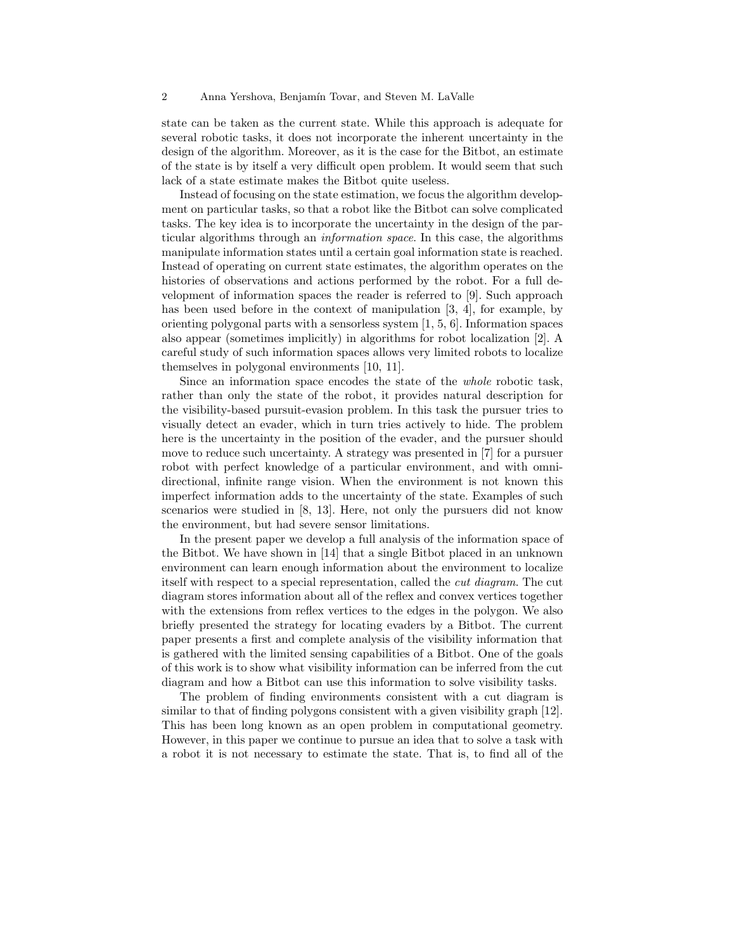state can be taken as the current state. While this approach is adequate for several robotic tasks, it does not incorporate the inherent uncertainty in the design of the algorithm. Moreover, as it is the case for the Bitbot, an estimate of the state is by itself a very difficult open problem. It would seem that such lack of a state estimate makes the Bitbot quite useless.

Instead of focusing on the state estimation, we focus the algorithm development on particular tasks, so that a robot like the Bitbot can solve complicated tasks. The key idea is to incorporate the uncertainty in the design of the particular algorithms through an information space. In this case, the algorithms manipulate information states until a certain goal information state is reached. Instead of operating on current state estimates, the algorithm operates on the histories of observations and actions performed by the robot. For a full development of information spaces the reader is referred to [9]. Such approach has been used before in the context of manipulation [3, 4], for example, by orienting polygonal parts with a sensorless system [1, 5, 6]. Information spaces also appear (sometimes implicitly) in algorithms for robot localization [2]. A careful study of such information spaces allows very limited robots to localize themselves in polygonal environments [10, 11].

Since an information space encodes the state of the whole robotic task, rather than only the state of the robot, it provides natural description for the visibility-based pursuit-evasion problem. In this task the pursuer tries to visually detect an evader, which in turn tries actively to hide. The problem here is the uncertainty in the position of the evader, and the pursuer should move to reduce such uncertainty. A strategy was presented in [7] for a pursuer robot with perfect knowledge of a particular environment, and with omnidirectional, infinite range vision. When the environment is not known this imperfect information adds to the uncertainty of the state. Examples of such scenarios were studied in [8, 13]. Here, not only the pursuers did not know the environment, but had severe sensor limitations.

In the present paper we develop a full analysis of the information space of the Bitbot. We have shown in [14] that a single Bitbot placed in an unknown environment can learn enough information about the environment to localize itself with respect to a special representation, called the cut diagram. The cut diagram stores information about all of the reflex and convex vertices together with the extensions from reflex vertices to the edges in the polygon. We also briefly presented the strategy for locating evaders by a Bitbot. The current paper presents a first and complete analysis of the visibility information that is gathered with the limited sensing capabilities of a Bitbot. One of the goals of this work is to show what visibility information can be inferred from the cut diagram and how a Bitbot can use this information to solve visibility tasks.

The problem of finding environments consistent with a cut diagram is similar to that of finding polygons consistent with a given visibility graph [12]. This has been long known as an open problem in computational geometry. However, in this paper we continue to pursue an idea that to solve a task with a robot it is not necessary to estimate the state. That is, to find all of the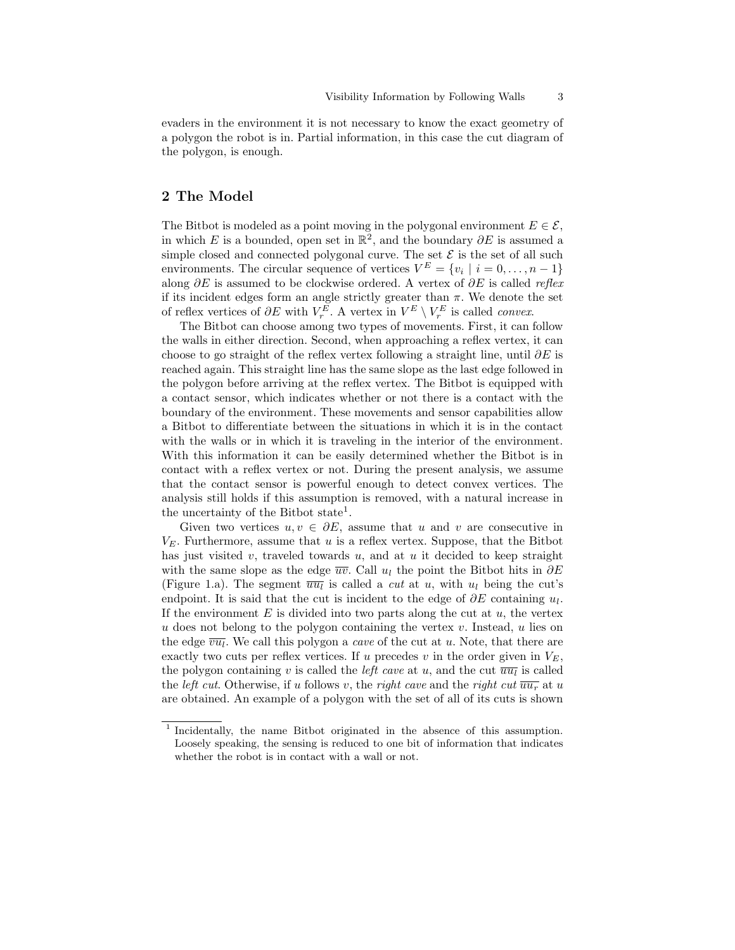evaders in the environment it is not necessary to know the exact geometry of a polygon the robot is in. Partial information, in this case the cut diagram of the polygon, is enough.

# 2 The Model

The Bitbot is modeled as a point moving in the polygonal environment  $E \in \mathcal{E}$ , in which E is a bounded, open set in  $\mathbb{R}^2$ , and the boundary  $\partial E$  is assumed a simple closed and connected polygonal curve. The set  $\mathcal E$  is the set of all such environments. The circular sequence of vertices  $V^E = \{v_i \mid i = 0, \ldots, n-1\}$ along  $\partial E$  is assumed to be clockwise ordered. A vertex of  $\partial E$  is called reflex if its incident edges form an angle strictly greater than  $\pi$ . We denote the set of reflex vertices of  $\partial E$  with  $V_r^E$ . A vertex in  $V^E \setminus V_r^E$  is called *convex*.

The Bitbot can choose among two types of movements. First, it can follow the walls in either direction. Second, when approaching a reflex vertex, it can choose to go straight of the reflex vertex following a straight line, until  $\partial E$  is reached again. This straight line has the same slope as the last edge followed in the polygon before arriving at the reflex vertex. The Bitbot is equipped with a contact sensor, which indicates whether or not there is a contact with the boundary of the environment. These movements and sensor capabilities allow a Bitbot to differentiate between the situations in which it is in the contact with the walls or in which it is traveling in the interior of the environment. With this information it can be easily determined whether the Bitbot is in contact with a reflex vertex or not. During the present analysis, we assume that the contact sensor is powerful enough to detect convex vertices. The analysis still holds if this assumption is removed, with a natural increase in the uncertainty of the Bitbot state<sup>1</sup>.

Given two vertices  $u, v \in \partial E$ , assume that u and v are consecutive in  $V_E$ . Furthermore, assume that u is a reflex vertex. Suppose, that the Bitbot has just visited v, traveled towards u, and at u it decided to keep straight with the same slope as the edge  $\overline{uv}$ . Call  $u_l$  the point the Bitbot hits in  $\partial E$ (Figure 1.a). The segment  $\overline{u u_l}$  is called a *cut* at u, with  $u_l$  being the cut's endpoint. It is said that the cut is incident to the edge of  $\partial E$  containing  $u_l$ . If the environment  $E$  is divided into two parts along the cut at  $u$ , the vertex  $u$  does not belong to the polygon containing the vertex  $v$ . Instead,  $u$  lies on the edge  $\overline{vu_l}$ . We call this polygon a *cave* of the cut at u. Note, that there are exactly two cuts per reflex vertices. If u precedes v in the order given in  $V_E$ , the polygon containing v is called the *left cave* at u, and the cut  $\overline{uu_l}$  is called the *left cut*. Otherwise, if u follows v, the right cave and the right cut  $\overline{u u_r}$  at u are obtained. An example of a polygon with the set of all of its cuts is shown

<sup>&</sup>lt;sup>1</sup> Incidentally, the name Bitbot originated in the absence of this assumption. Loosely speaking, the sensing is reduced to one bit of information that indicates whether the robot is in contact with a wall or not.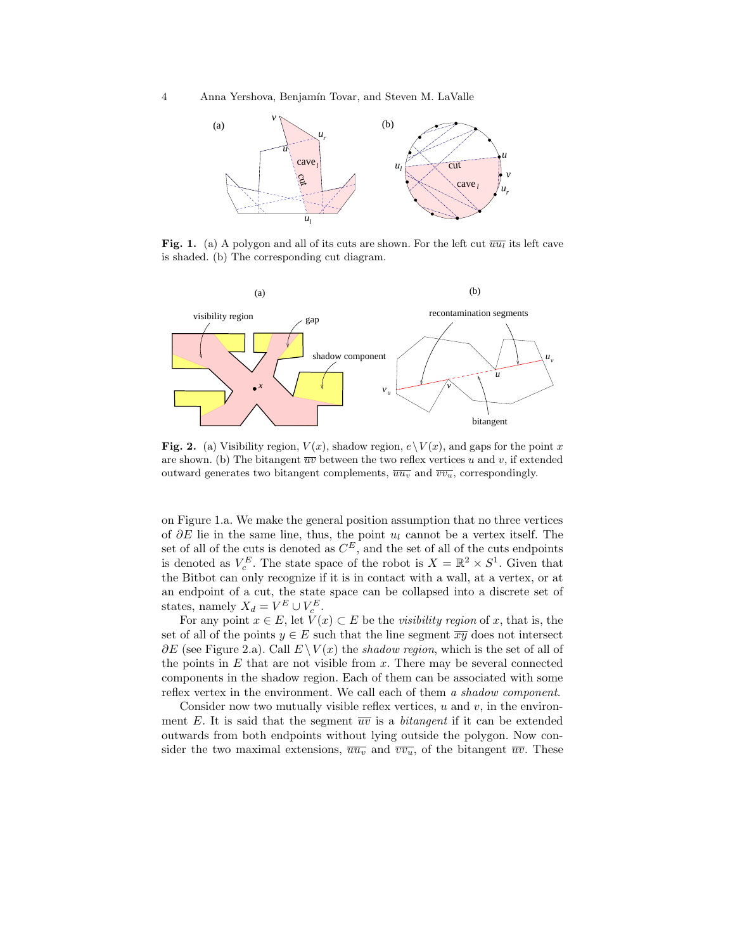4 Anna Yershova, Benjamín Tovar, and Steven M. LaValle



Fig. 1. (a) A polygon and all of its cuts are shown. For the left cut  $\overline{u u_l}$  its left cave is shaded. (b) The corresponding cut diagram.



Fig. 2. (a) Visibility region,  $V(x)$ , shadow region,  $e \setminus V(x)$ , and gaps for the point x are shown. (b) The bitangent  $\overline{uv}$  between the two reflex vertices u and v, if extended outward generates two bitangent complements,  $\overline{u u_v}$  and  $\overline{v v_u}$ , correspondingly.

on Figure 1.a. We make the general position assumption that no three vertices of  $\partial E$  lie in the same line, thus, the point  $u_l$  cannot be a vertex itself. The set of all of the cuts is denoted as  $C^E$ , and the set of all of the cuts endpoints is denoted as  $V_c^E$ . The state space of the robot is  $X = \mathbb{R}^2 \times S^1$ . Given that the Bitbot can only recognize if it is in contact with a wall, at a vertex, or at an endpoint of a cut, the state space can be collapsed into a discrete set of states, namely  $X_d = V^E \cup V_c^E$ .

For any point  $x \in E$ , let  $V(x) \subset E$  be the *visibility region* of x, that is, the set of all of the points  $y \in E$  such that the line segment  $\overline{xy}$  does not intersect  $\partial E$  (see Figure 2.a). Call  $E \setminus V(x)$  the shadow region, which is the set of all of the points in  $E$  that are not visible from  $x$ . There may be several connected components in the shadow region. Each of them can be associated with some reflex vertex in the environment. We call each of them a shadow component.

Consider now two mutually visible reflex vertices,  $u$  and  $v$ , in the environment E. It is said that the segment  $\overline{uv}$  is a *bitangent* if it can be extended outwards from both endpoints without lying outside the polygon. Now consider the two maximal extensions,  $\overline{uu_v}$  and  $\overline{vv_u}$ , of the bitangent  $\overline{uv}$ . These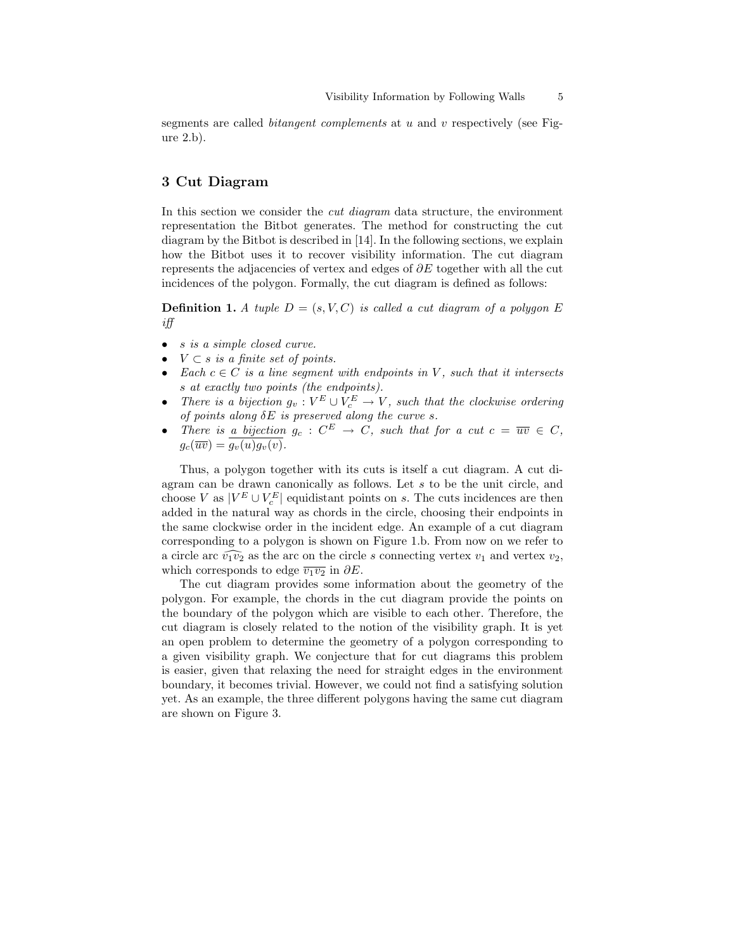segments are called *bitangent complements* at u and v respectively (see Figure 2.b).

## 3 Cut Diagram

In this section we consider the cut diagram data structure, the environment representation the Bitbot generates. The method for constructing the cut diagram by the Bitbot is described in [14]. In the following sections, we explain how the Bitbot uses it to recover visibility information. The cut diagram represents the adjacencies of vertex and edges of  $\partial E$  together with all the cut incidences of the polygon. Formally, the cut diagram is defined as follows:

**Definition 1.** A tuple  $D = (s, V, C)$  is called a cut diagram of a polygon E iff

- s is a simple closed curve.
- $V \subset s$  is a finite set of points.
- Each  $c \in C$  is a line seqment with endpoints in V, such that it intersects s at exactly two points (the endpoints).
- There is a bijection  $g_v : V^E \cup V^E_c \to V$ , such that the clockwise ordering of points along  $\delta E$  is preserved along the curve s.
- There is a bijection  $g_c: C^E \to C$ , such that for a cut  $c = \overline{uv} \in C$ ,  $g_c(\overline{uv}) = g_v(u)g_v(v).$

Thus, a polygon together with its cuts is itself a cut diagram. A cut diagram can be drawn canonically as follows. Let s to be the unit circle, and choose V as  $|V^E \cup V^E_c|$  equidistant points on s. The cuts incidences are then added in the natural way as chords in the circle, choosing their endpoints in the same clockwise order in the incident edge. An example of a cut diagram corresponding to a polygon is shown on Figure 1.b. From now on we refer to a circle arc  $\widehat{v_1v_2}$  as the arc on the circle s connecting vertex  $v_1$  and vertex  $v_2$ , which corresponds to edge  $\overline{v_1v_2}$  in  $\partial E$ .

The cut diagram provides some information about the geometry of the polygon. For example, the chords in the cut diagram provide the points on the boundary of the polygon which are visible to each other. Therefore, the cut diagram is closely related to the notion of the visibility graph. It is yet an open problem to determine the geometry of a polygon corresponding to a given visibility graph. We conjecture that for cut diagrams this problem is easier, given that relaxing the need for straight edges in the environment boundary, it becomes trivial. However, we could not find a satisfying solution yet. As an example, the three different polygons having the same cut diagram are shown on Figure 3.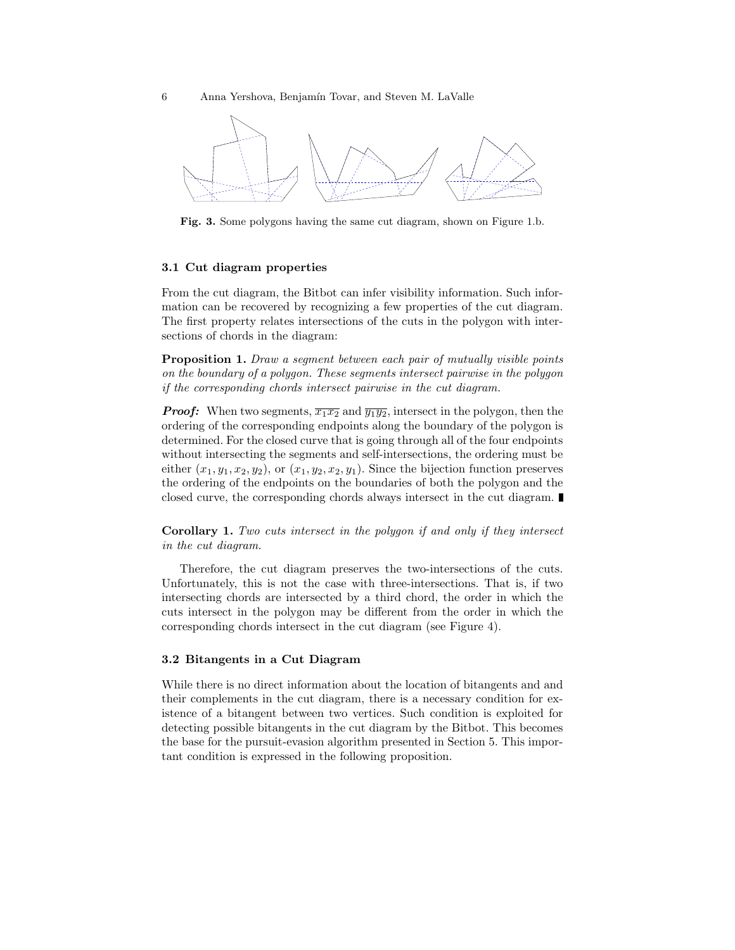

Fig. 3. Some polygons having the same cut diagram, shown on Figure 1.b.

#### 3.1 Cut diagram properties

From the cut diagram, the Bitbot can infer visibility information. Such information can be recovered by recognizing a few properties of the cut diagram. The first property relates intersections of the cuts in the polygon with intersections of chords in the diagram:

**Proposition 1.** Draw a segment between each pair of mutually visible points on the boundary of a polygon. These segments intersect pairwise in the polygon if the corresponding chords intersect pairwise in the cut diagram.

**Proof:** When two segments,  $\overline{x_1x_2}$  and  $\overline{y_1y_2}$ , intersect in the polygon, then the ordering of the corresponding endpoints along the boundary of the polygon is determined. For the closed curve that is going through all of the four endpoints without intersecting the segments and self-intersections, the ordering must be either  $(x_1, y_1, x_2, y_2)$ , or  $(x_1, y_2, x_2, y_1)$ . Since the bijection function preserves the ordering of the endpoints on the boundaries of both the polygon and the closed curve, the corresponding chords always intersect in the cut diagram.

Corollary 1. Two cuts intersect in the polygon if and only if they intersect in the cut diagram.

Therefore, the cut diagram preserves the two-intersections of the cuts. Unfortunately, this is not the case with three-intersections. That is, if two intersecting chords are intersected by a third chord, the order in which the cuts intersect in the polygon may be different from the order in which the corresponding chords intersect in the cut diagram (see Figure 4).

### 3.2 Bitangents in a Cut Diagram

While there is no direct information about the location of bitangents and and their complements in the cut diagram, there is a necessary condition for existence of a bitangent between two vertices. Such condition is exploited for detecting possible bitangents in the cut diagram by the Bitbot. This becomes the base for the pursuit-evasion algorithm presented in Section 5. This important condition is expressed in the following proposition.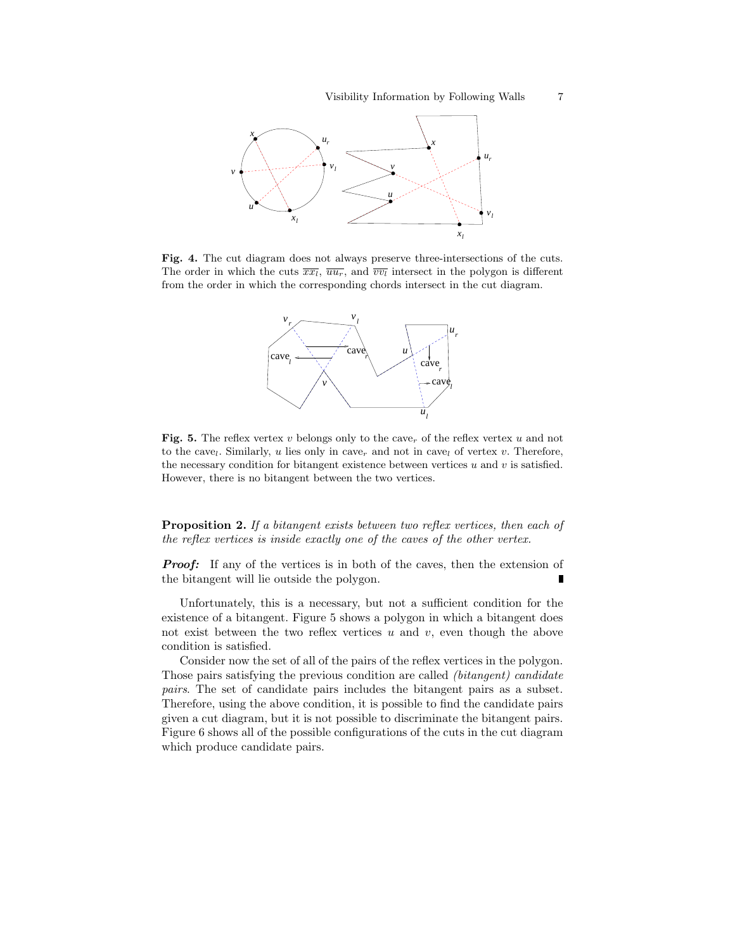

Fig. 4. The cut diagram does not always preserve three-intersections of the cuts. The order in which the cuts  $\overline{xx_i}$ ,  $\overline{uu_r}$ , and  $\overline{vv_i}$  intersect in the polygon is different from the order in which the corresponding chords intersect in the cut diagram.



Fig. 5. The reflex vertex v belongs only to the cave<sub>r</sub> of the reflex vertex u and not to the cave<sub>l</sub>. Similarly, u lies only in cave<sub>r</sub> and not in cave<sub>l</sub> of vertex v. Therefore, the necessary condition for bitangent existence between vertices  $u$  and  $v$  is satisfied. However, there is no bitangent between the two vertices.

**Proposition 2.** If a bitangent exists between two reflex vertices, then each of the reflex vertices is inside exactly one of the caves of the other vertex.

**Proof:** If any of the vertices is in both of the caves, then the extension of the bitangent will lie outside the polygon.

Unfortunately, this is a necessary, but not a sufficient condition for the existence of a bitangent. Figure 5 shows a polygon in which a bitangent does not exist between the two reflex vertices  $u$  and  $v$ , even though the above condition is satisfied.

Consider now the set of all of the pairs of the reflex vertices in the polygon. Those pairs satisfying the previous condition are called (bitangent) candidate pairs. The set of candidate pairs includes the bitangent pairs as a subset. Therefore, using the above condition, it is possible to find the candidate pairs given a cut diagram, but it is not possible to discriminate the bitangent pairs. Figure 6 shows all of the possible configurations of the cuts in the cut diagram which produce candidate pairs.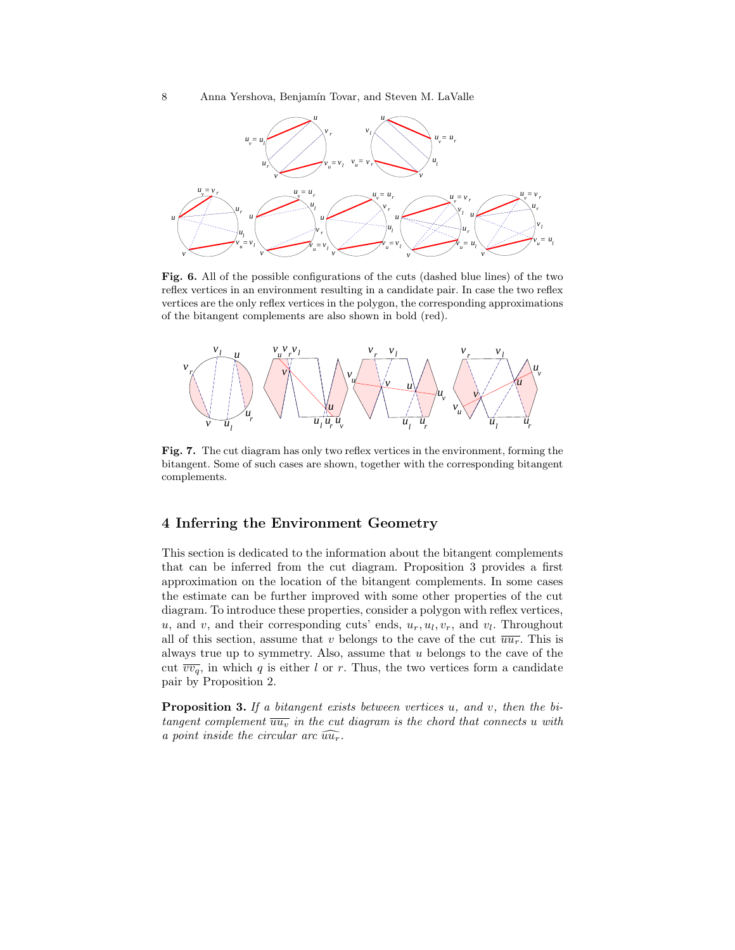

Fig. 6. All of the possible configurations of the cuts (dashed blue lines) of the two reflex vertices in an environment resulting in a candidate pair. In case the two reflex vertices are the only reflex vertices in the polygon, the corresponding approximations of the bitangent complements are also shown in bold (red).



Fig. 7. The cut diagram has only two reflex vertices in the environment, forming the bitangent. Some of such cases are shown, together with the corresponding bitangent complements.

# 4 Inferring the Environment Geometry

This section is dedicated to the information about the bitangent complements that can be inferred from the cut diagram. Proposition 3 provides a first approximation on the location of the bitangent complements. In some cases the estimate can be further improved with some other properties of the cut diagram. To introduce these properties, consider a polygon with reflex vertices,  $u$ , and  $v$ , and their corresponding cuts' ends,  $u_r, u_l, v_r$ , and  $v_l$ . Throughout all of this section, assume that v belongs to the cave of the cut  $\overline{u u_r}$ . This is always true up to symmetry. Also, assume that  $u$  belongs to the cave of the cut  $\overline{vv_q}$ , in which q is either l or r. Thus, the two vertices form a candidate pair by Proposition 2.

**Proposition 3.** If a bitangent exists between vertices  $u$ , and  $v$ , then the bitangent complement  $\overline{uu_v}$  in the cut diagram is the chord that connects u with a point inside the circular arc  $\widehat{uu_r}$ .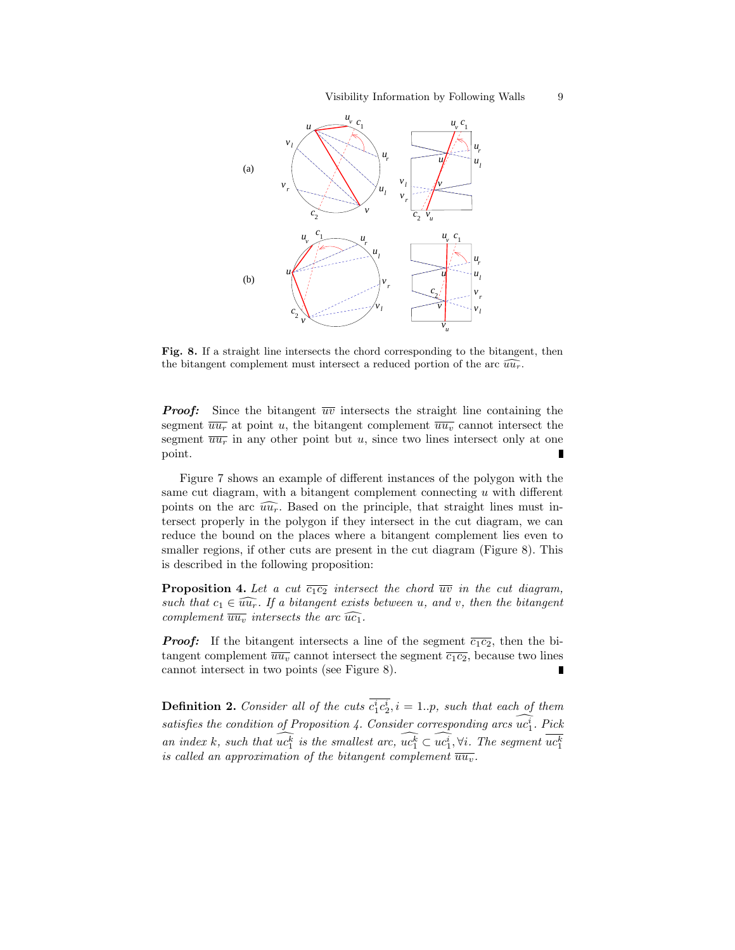#### Visibility Information by Following Walls 9



Fig. 8. If a straight line intersects the chord corresponding to the bitangent, then the bitangent complement must intersect a reduced portion of the arc  $\widehat{u u_r}$ .

**Proof:** Since the bitangent  $\overline{uv}$  intersects the straight line containing the segment  $\overline{u u_r}$  at point u, the bitangent complement  $\overline{u u_v}$  cannot intersect the segment  $\overline{u u_r}$  in any other point but u, since two lines intersect only at one Ē point.

Figure 7 shows an example of different instances of the polygon with the same cut diagram, with a bitangent complement connecting  $u$  with different points on the arc  $\widehat{uu_r}$ . Based on the principle, that straight lines must intersect properly in the polygon if they intersect in the cut diagram, we can reduce the bound on the places where a bitangent complement lies even to smaller regions, if other cuts are present in the cut diagram (Figure 8). This is described in the following proposition:

**Proposition 4.** Let a cut  $\overline{c_1c_2}$  intersect the chord  $\overline{uv}$  in the cut diagram, such that  $c_1 \in \widehat{uu_r}$ . If a bitangent exists between u, and v, then the bitangent complement  $\overline{u u_v}$  intersects the arc  $\widehat{u c_1}$ .

**Proof:** If the bitangent intersects a line of the segment  $\overline{c_1c_2}$ , then the bitangent complement  $\overline{u u_v}$  cannot intersect the segment  $\overline{c_1c_2}$ , because two lines cannot intersect in two points (see Figure 8).

**Definition 2.** Consider all of the cuts  $c_1^ic_2^i$ ,  $i = 1..p$ , such that each of them satisfies the condition of Proposition 4. Consider corresponding arcs  $\widetilde{uc_1^i}$ . Pick an index k, such that  $\widehat{uc_1^k}$  is the smallest arc,  $\widehat{uc_1^k} \subset \widehat{uc_1^i}$ ,  $\forall i$ . The segment  $\overline{uc_1^k}$ is called an approximation of the bitangent complement  $\overline{u u_v}$ .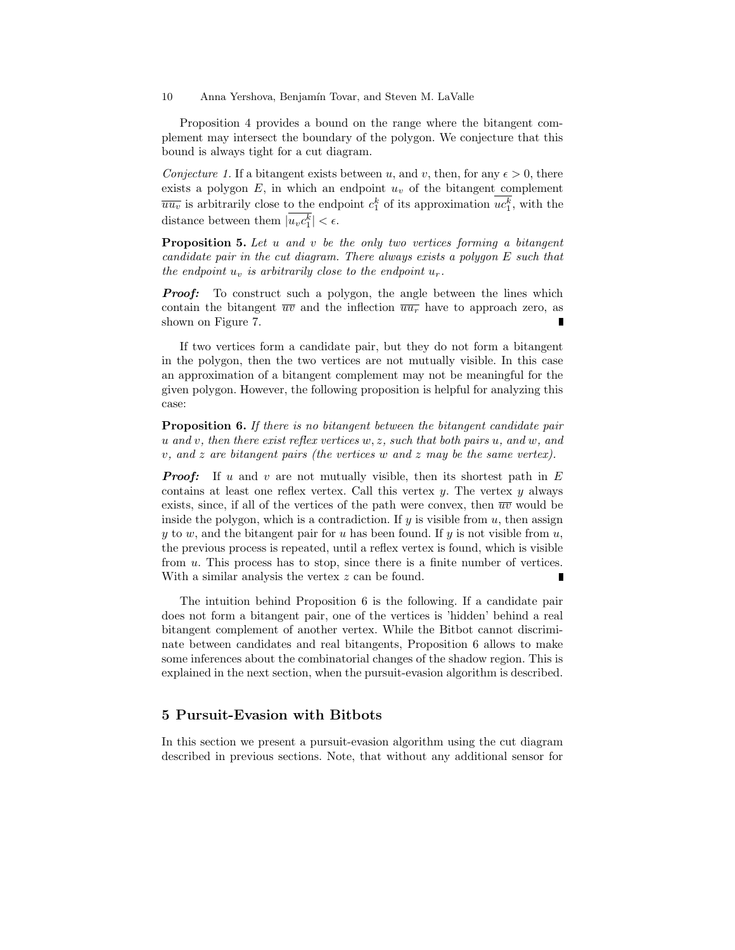Proposition 4 provides a bound on the range where the bitangent complement may intersect the boundary of the polygon. We conjecture that this bound is always tight for a cut diagram.

Conjecture 1. If a bitangent exists between u, and v, then, for any  $\epsilon > 0$ , there exists a polygon  $E$ , in which an endpoint  $u<sub>v</sub>$  of the bitangent complement  $\overline{uu_v}$  is arbitrarily close to the endpoint  $c_1^k$  of its approximation  $uc_1^k$ , with the distance between them  $|u_v c_1^k| < \epsilon$ .

Proposition 5. Let u and v be the only two vertices forming a bitangent candidate pair in the cut diagram. There always exists a polygon E such that the endpoint  $u_v$  is arbitrarily close to the endpoint  $u_r$ .

**Proof:** To construct such a polygon, the angle between the lines which contain the bitangent  $\overline{uv}$  and the inflection  $\overline{uv_r}$  have to approach zero, as shown on Figure 7.

If two vertices form a candidate pair, but they do not form a bitangent in the polygon, then the two vertices are not mutually visible. In this case an approximation of a bitangent complement may not be meaningful for the given polygon. However, the following proposition is helpful for analyzing this case:

**Proposition 6.** If there is no bitangent between the bitangent candidate pair u and v, then there exist reflex vertices  $w, z$ , such that both pairs u, and w, and  $v$ , and z are bitangent pairs (the vertices w and z may be the same vertex).

**Proof:** If u and v are not mutually visible, then its shortest path in  $E$ contains at least one reflex vertex. Call this vertex  $y$ . The vertex  $y$  always exists, since, if all of the vertices of the path were convex, then  $\overline{uv}$  would be inside the polygon, which is a contradiction. If  $y$  is visible from  $u$ , then assign y to w, and the bitangent pair for u has been found. If y is not visible from  $u$ , the previous process is repeated, until a reflex vertex is found, which is visible from u. This process has to stop, since there is a finite number of vertices. With a similar analysis the vertex z can be found.

The intuition behind Proposition 6 is the following. If a candidate pair does not form a bitangent pair, one of the vertices is 'hidden' behind a real bitangent complement of another vertex. While the Bitbot cannot discriminate between candidates and real bitangents, Proposition 6 allows to make some inferences about the combinatorial changes of the shadow region. This is explained in the next section, when the pursuit-evasion algorithm is described.

# 5 Pursuit-Evasion with Bitbots

In this section we present a pursuit-evasion algorithm using the cut diagram described in previous sections. Note, that without any additional sensor for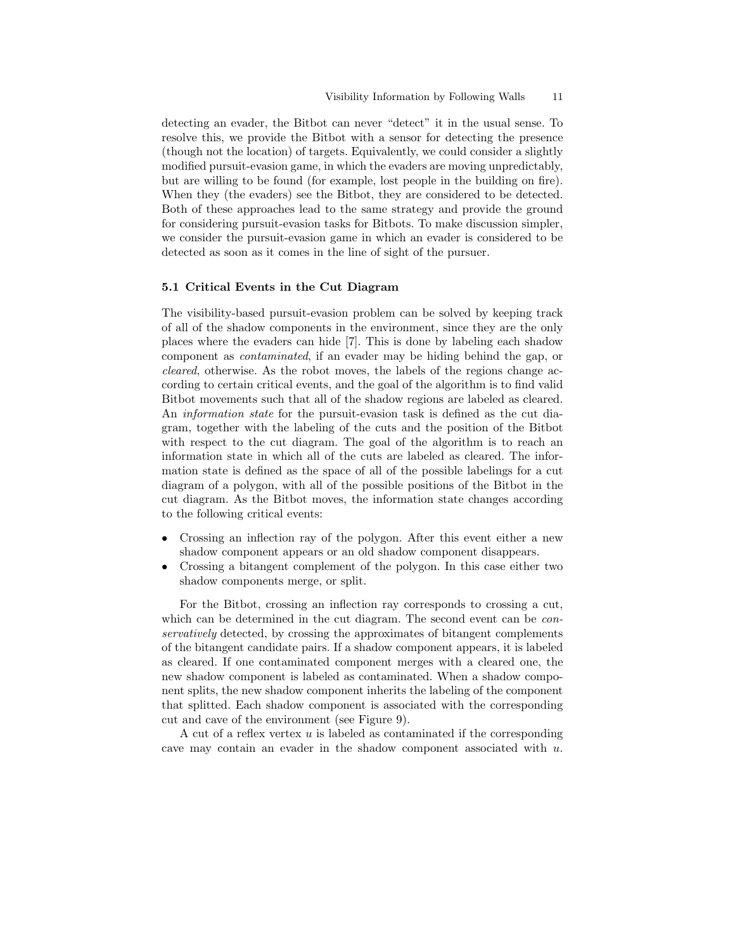detecting an evader, the Bitbot can never "detect" it in the usual sense. To resolve this, we provide the Bitbot with a sensor for detecting the presence (though not the location) of targets. Equivalently, we could consider a slightly modified pursuit-evasion game, in which the evaders are moving unpredictably, but are willing to be found (for example, lost people in the building on fire). When they (the evaders) see the Bitbot, they are considered to be detected. Both of these approaches lead to the same strategy and provide the ground for considering pursuit-evasion tasks for Bitbots. To make discussion simpler, we consider the pursuit-evasion game in which an evader is considered to be detected as soon as it comes in the line of sight of the pursuer.

#### 5.1 Critical Events in the Cut Diagram

The visibility-based pursuit-evasion problem can be solved by keeping track of all of the shadow components in the environment, since they are the only places where the evaders can hide [7]. This is done by labeling each shadow component as contaminated, if an evader may be hiding behind the gap, or cleared, otherwise. As the robot moves, the labels of the regions change according to certain critical events, and the goal of the algorithm is to find valid Bitbot movements such that all of the shadow regions are labeled as cleared. An information state for the pursuit-evasion task is defined as the cut diagram, together with the labeling of the cuts and the position of the Bitbot with respect to the cut diagram. The goal of the algorithm is to reach an information state in which all of the cuts are labeled as cleared. The information state is defined as the space of all of the possible labelings for a cut diagram of a polygon, with all of the possible positions of the Bitbot in the cut diagram. As the Bitbot moves, the information state changes according to the following critical events:

- Crossing an inflection ray of the polygon. After this event either a new shadow component appears or an old shadow component disappears.
- Crossing a bitangent complement of the polygon. In this case either two shadow components merge, or split.

For the Bitbot, crossing an inflection ray corresponds to crossing a cut, which can be determined in the cut diagram. The second event can be *con*servatively detected, by crossing the approximates of bitangent complements of the bitangent candidate pairs. If a shadow component appears, it is labeled as cleared. If one contaminated component merges with a cleared one, the new shadow component is labeled as contaminated. When a shadow component splits, the new shadow component inherits the labeling of the component that splitted. Each shadow component is associated with the corresponding cut and cave of the environment (see Figure 9).

A cut of a reflex vertex u is labeled as contaminated if the corresponding cave may contain an evader in the shadow component associated with  $u$ .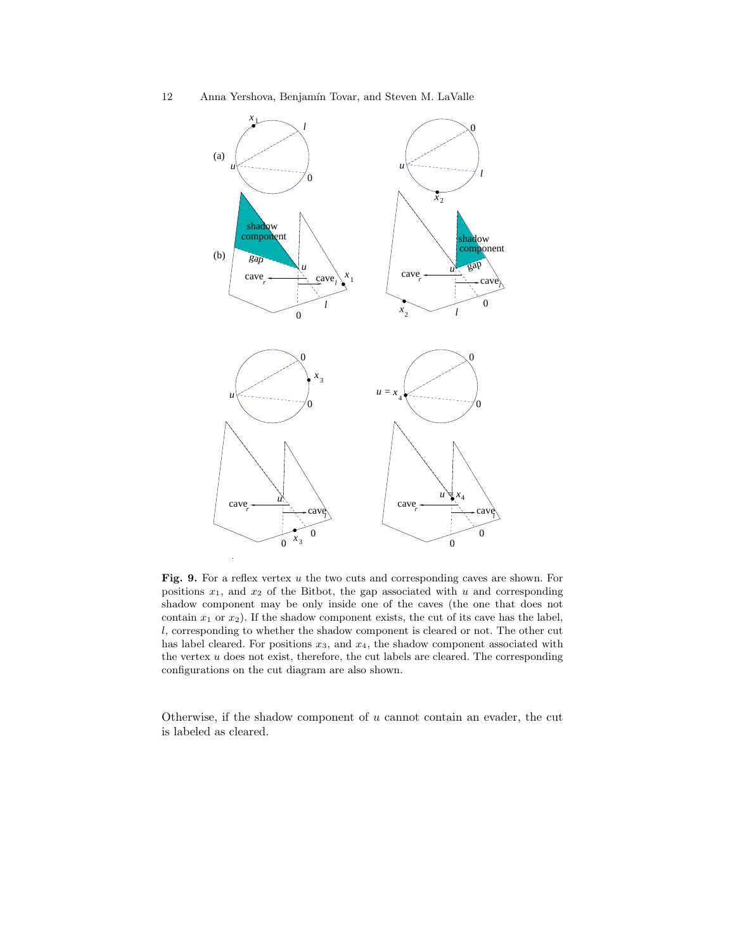12 Anna Yershova, Benjamín Tovar, and Steven M. LaValle



Fig. 9. For a reflex vertex  $u$  the two cuts and corresponding caves are shown. For positions  $x_1$ , and  $x_2$  of the Bitbot, the gap associated with u and corresponding shadow component may be only inside one of the caves (the one that does not contain  $x_1$  or  $x_2$ ). If the shadow component exists, the cut of its cave has the label, l, corresponding to whether the shadow component is cleared or not. The other cut has label cleared. For positions  $x_3$ , and  $x_4$ , the shadow component associated with the vertex  $u$  does not exist, therefore, the cut labels are cleared. The corresponding configurations on the cut diagram are also shown.

Otherwise, if the shadow component of  $u$  cannot contain an evader, the cut is labeled as cleared.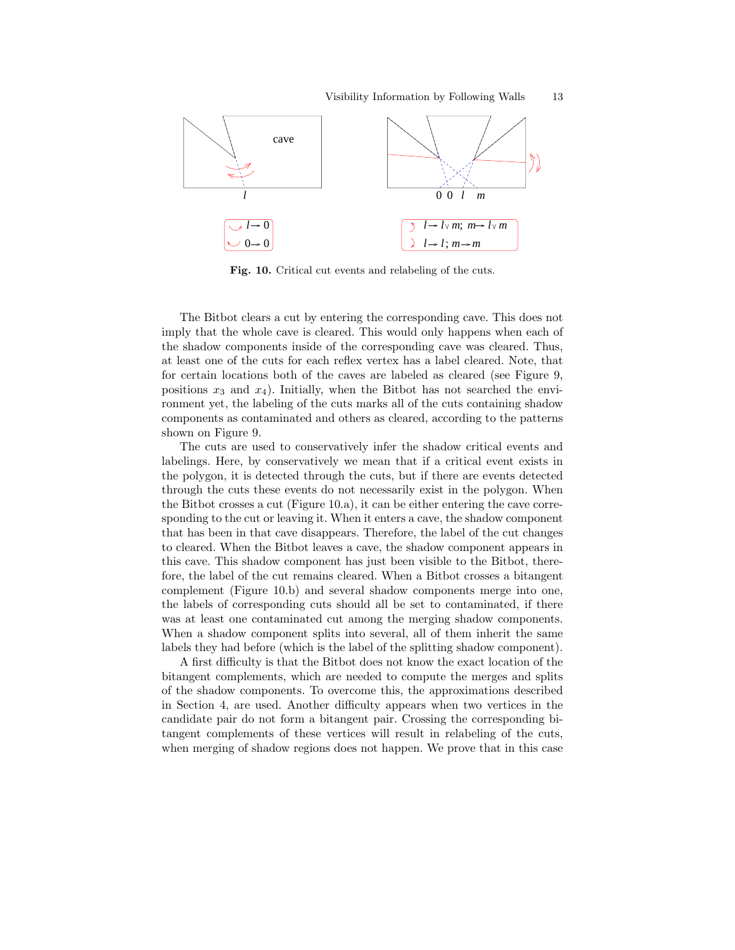

Fig. 10. Critical cut events and relabeling of the cuts.

The Bitbot clears a cut by entering the corresponding cave. This does not imply that the whole cave is cleared. This would only happens when each of the shadow components inside of the corresponding cave was cleared. Thus, at least one of the cuts for each reflex vertex has a label cleared. Note, that for certain locations both of the caves are labeled as cleared (see Figure 9, positions  $x_3$  and  $x_4$ ). Initially, when the Bitbot has not searched the environment yet, the labeling of the cuts marks all of the cuts containing shadow components as contaminated and others as cleared, according to the patterns shown on Figure 9.

The cuts are used to conservatively infer the shadow critical events and labelings. Here, by conservatively we mean that if a critical event exists in the polygon, it is detected through the cuts, but if there are events detected through the cuts these events do not necessarily exist in the polygon. When the Bitbot crosses a cut (Figure 10.a), it can be either entering the cave corresponding to the cut or leaving it. When it enters a cave, the shadow component that has been in that cave disappears. Therefore, the label of the cut changes to cleared. When the Bitbot leaves a cave, the shadow component appears in this cave. This shadow component has just been visible to the Bitbot, therefore, the label of the cut remains cleared. When a Bitbot crosses a bitangent complement (Figure 10.b) and several shadow components merge into one, the labels of corresponding cuts should all be set to contaminated, if there was at least one contaminated cut among the merging shadow components. When a shadow component splits into several, all of them inherit the same labels they had before (which is the label of the splitting shadow component).

A first difficulty is that the Bitbot does not know the exact location of the bitangent complements, which are needed to compute the merges and splits of the shadow components. To overcome this, the approximations described in Section 4, are used. Another difficulty appears when two vertices in the candidate pair do not form a bitangent pair. Crossing the corresponding bitangent complements of these vertices will result in relabeling of the cuts, when merging of shadow regions does not happen. We prove that in this case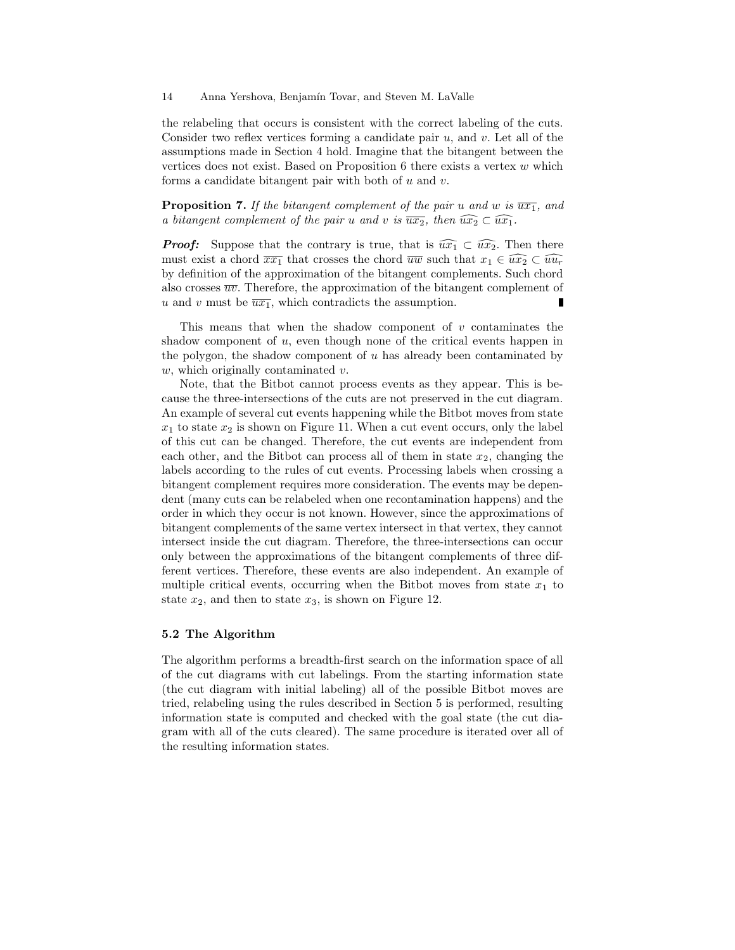the relabeling that occurs is consistent with the correct labeling of the cuts. Consider two reflex vertices forming a candidate pair  $u$ , and  $v$ . Let all of the assumptions made in Section 4 hold. Imagine that the bitangent between the vertices does not exist. Based on Proposition  $6$  there exists a vertex  $w$  which forms a candidate bitangent pair with both of  $u$  and  $v$ .

**Proposition 7.** If the bitangent complement of the pair u and w is  $\overline{ux_1}$ , and a bitangent complement of the pair u and v is  $\overline{ux_2}$ , then  $\widehat{ux_2} \subset \widehat{ux_1}$ .

**Proof:** Suppose that the contrary is true, that is  $\widehat{ux_1} \subset \widehat{ux_2}$ . Then there must exist a chord  $\overline{xx_1}$  that crosses the chord  $\overline{uw}$  such that  $x_1 \in \widehat{ux_2} \subset \widehat{uu_r}$ by definition of the approximation of the bitangent complements. Such chord also crosses  $\overline{uv}$ . Therefore, the approximation of the bitangent complement of u and v must be  $\overline{ux_1}$ , which contradicts the assumption.

This means that when the shadow component of  $v$  contaminates the shadow component of  $u$ , even though none of the critical events happen in the polygon, the shadow component of  $u$  has already been contaminated by  $w$ , which originally contaminated  $v$ .

Note, that the Bitbot cannot process events as they appear. This is because the three-intersections of the cuts are not preserved in the cut diagram. An example of several cut events happening while the Bitbot moves from state  $x_1$  to state  $x_2$  is shown on Figure 11. When a cut event occurs, only the label of this cut can be changed. Therefore, the cut events are independent from each other, and the Bitbot can process all of them in state  $x_2$ , changing the labels according to the rules of cut events. Processing labels when crossing a bitangent complement requires more consideration. The events may be dependent (many cuts can be relabeled when one recontamination happens) and the order in which they occur is not known. However, since the approximations of bitangent complements of the same vertex intersect in that vertex, they cannot intersect inside the cut diagram. Therefore, the three-intersections can occur only between the approximations of the bitangent complements of three different vertices. Therefore, these events are also independent. An example of multiple critical events, occurring when the Bitbot moves from state  $x_1$  to state  $x_2$ , and then to state  $x_3$ , is shown on Figure 12.

#### 5.2 The Algorithm

The algorithm performs a breadth-first search on the information space of all of the cut diagrams with cut labelings. From the starting information state (the cut diagram with initial labeling) all of the possible Bitbot moves are tried, relabeling using the rules described in Section 5 is performed, resulting information state is computed and checked with the goal state (the cut diagram with all of the cuts cleared). The same procedure is iterated over all of the resulting information states.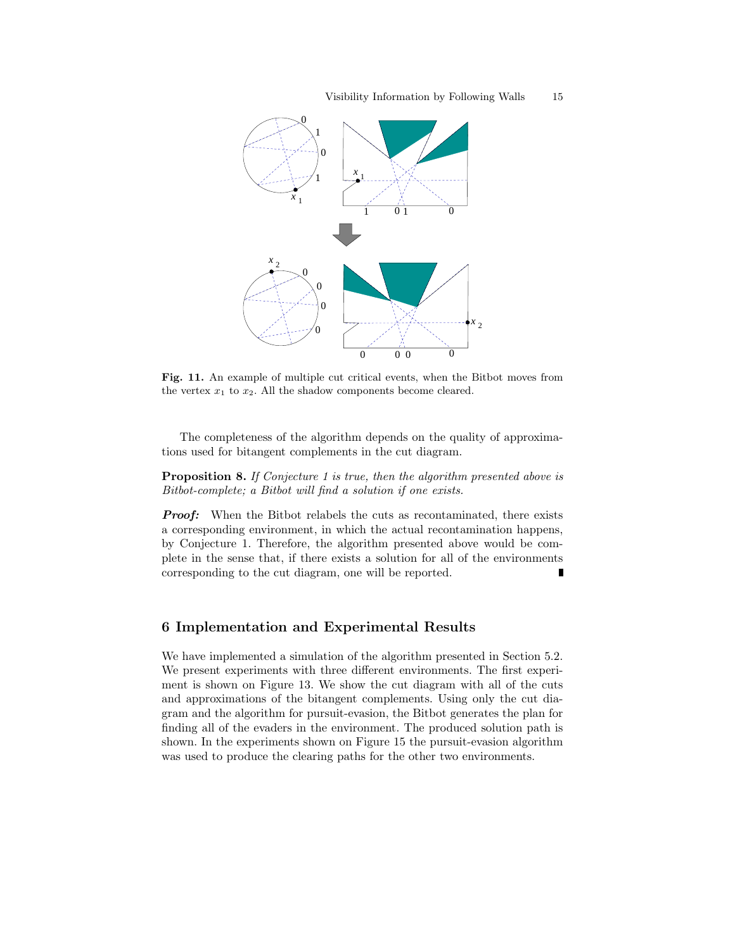

Fig. 11. An example of multiple cut critical events, when the Bitbot moves from the vertex  $x_1$  to  $x_2$ . All the shadow components become cleared.

The completeness of the algorithm depends on the quality of approximations used for bitangent complements in the cut diagram.

**Proposition 8.** If Conjecture 1 is true, then the algorithm presented above is Bitbot-complete; a Bitbot will find a solution if one exists.

**Proof:** When the Bitbot relabels the cuts as recontaminated, there exists a corresponding environment, in which the actual recontamination happens, by Conjecture 1. Therefore, the algorithm presented above would be complete in the sense that, if there exists a solution for all of the environments corresponding to the cut diagram, one will be reported.

# 6 Implementation and Experimental Results

We have implemented a simulation of the algorithm presented in Section 5.2. We present experiments with three different environments. The first experiment is shown on Figure 13. We show the cut diagram with all of the cuts and approximations of the bitangent complements. Using only the cut diagram and the algorithm for pursuit-evasion, the Bitbot generates the plan for finding all of the evaders in the environment. The produced solution path is shown. In the experiments shown on Figure 15 the pursuit-evasion algorithm was used to produce the clearing paths for the other two environments.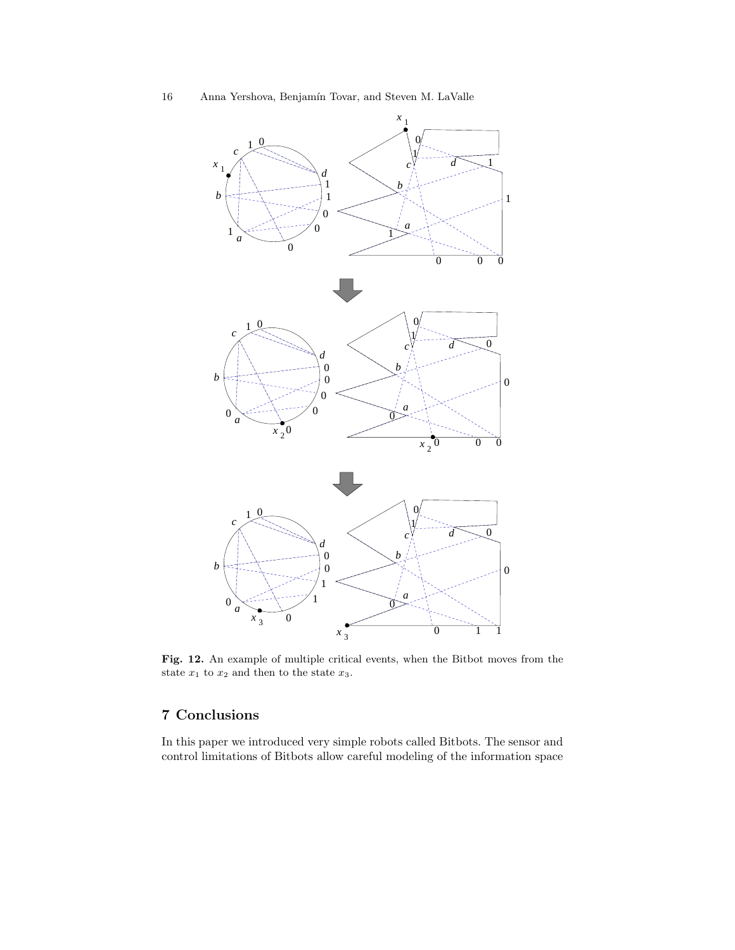

Fig. 12. An example of multiple critical events, when the Bitbot moves from the state  $x_1$  to  $x_2$  and then to the state  $x_3$ .

# 7 Conclusions

In this paper we introduced very simple robots called Bitbots. The sensor and control limitations of Bitbots allow careful modeling of the information space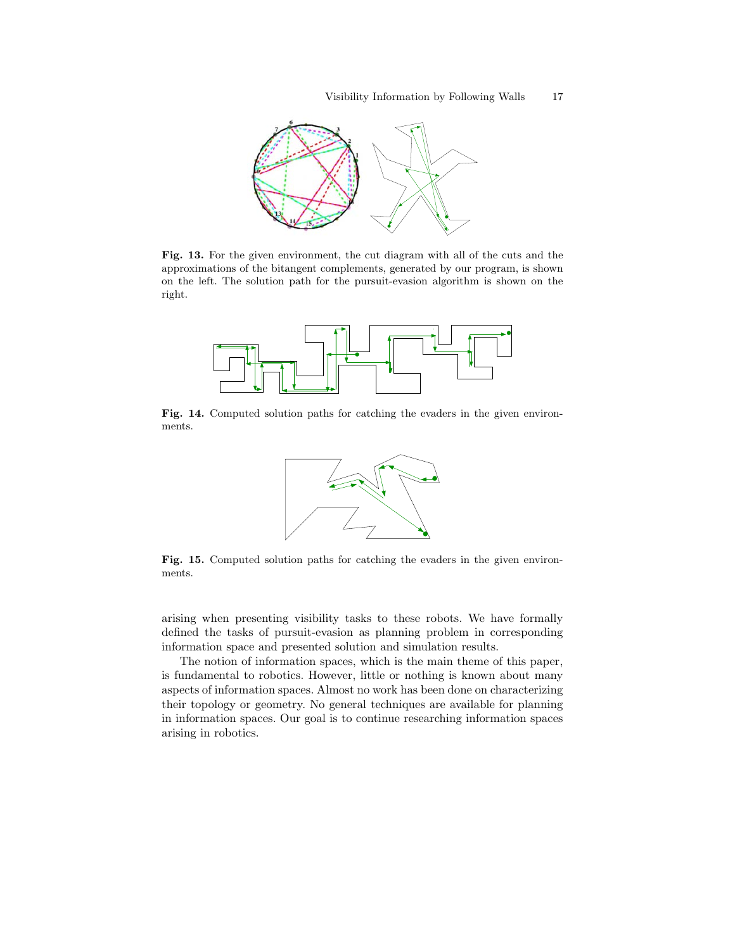

Fig. 13. For the given environment, the cut diagram with all of the cuts and the approximations of the bitangent complements, generated by our program, is shown on the left. The solution path for the pursuit-evasion algorithm is shown on the right.



Fig. 14. Computed solution paths for catching the evaders in the given environments.



Fig. 15. Computed solution paths for catching the evaders in the given environments.

arising when presenting visibility tasks to these robots. We have formally defined the tasks of pursuit-evasion as planning problem in corresponding information space and presented solution and simulation results.

The notion of information spaces, which is the main theme of this paper, is fundamental to robotics. However, little or nothing is known about many aspects of information spaces. Almost no work has been done on characterizing their topology or geometry. No general techniques are available for planning in information spaces. Our goal is to continue researching information spaces arising in robotics.